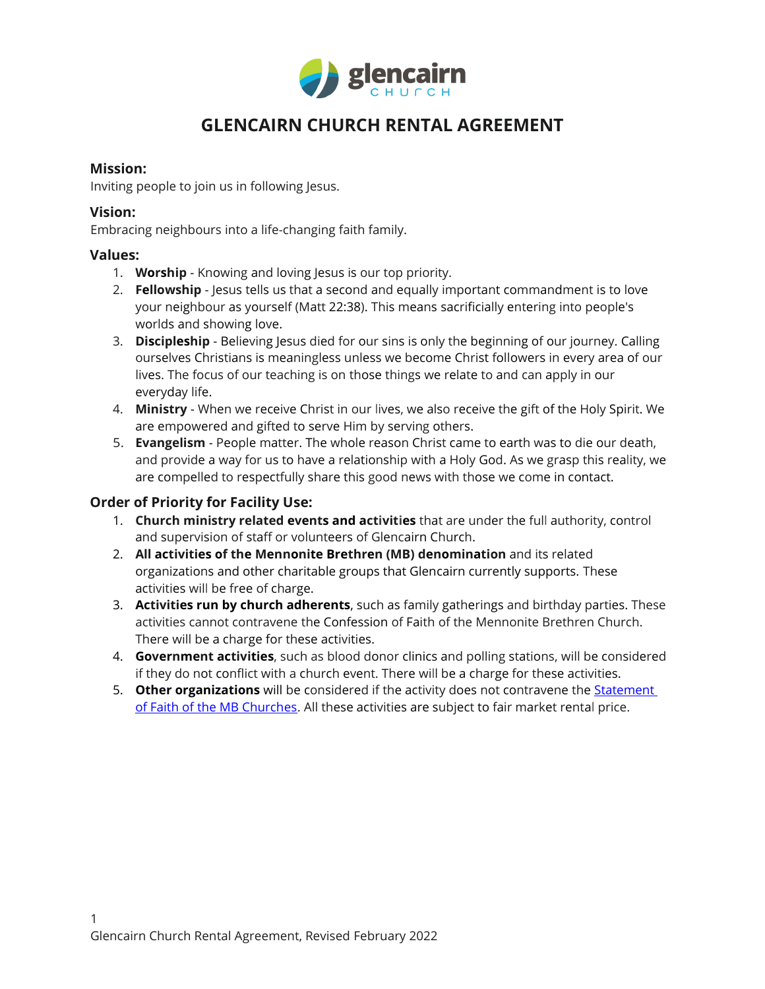

### **Mission:**

Inviting people to join us in following Jesus.

### **Vision:**

Embracing neighbours into a life-changing faith family.

### **Values:**

- 1. **Worship** Knowing and loving Jesus is our top priority.
- 2. **Fellowship**  Jesus tells us that a second and equally important commandment is to love your neighbour as yourself (Matt 22:38). This means sacrificially entering into people's worlds and showing love.
- 3. **Discipleship**  Believing Jesus died for our sins is only the beginning of our journey. Calling ourselves Christians is meaningless unless we become Christ followers in every area of our lives. The focus of our teaching is on those things we relate to and can apply in our everyday life.
- 4. **Ministry**  When we receive Christ in our lives, we also receive the gift of the Holy Spirit. We are empowered and gifted to serve Him by serving others.
- 5. **Evangelism**  People matter. The whole reason Christ came to earth was to die our death, and provide a way for us to have a relationship with a Holy God. As we grasp this reality, we are compelled to respectfully share this good news with those we come in contact.

## **Order of Priority for Facility Use:**

- 1. **Church ministry related events and activities** that are under the full authority, control and supervision of staff or volunteers of Glencairn Church.
- 2. **All activities of the Mennonite Brethren (MB) denomination** and its related organizations and other charitable groups that Glencairn currently supports. These activities will be free of charge.
- 3. **Activities run by church adherents**, such as family gatherings and birthday parties. These activities cannot contravene the Confession of Faith of the Mennonite Brethren Church. There will be a charge for these activities.
- 4. **Government activities**, such as blood donor clinics and polling stations, will be considered if they do not conflict with a church event. There will be a charge for these activities.
- 5. **Other organizations** will be considered if the activity does not contravene the **Statement** [of Faith of the MB Churches.](https://www.mennonitebrethren.ca/mb-beliefs/) All these activities are subject to fair market rental price.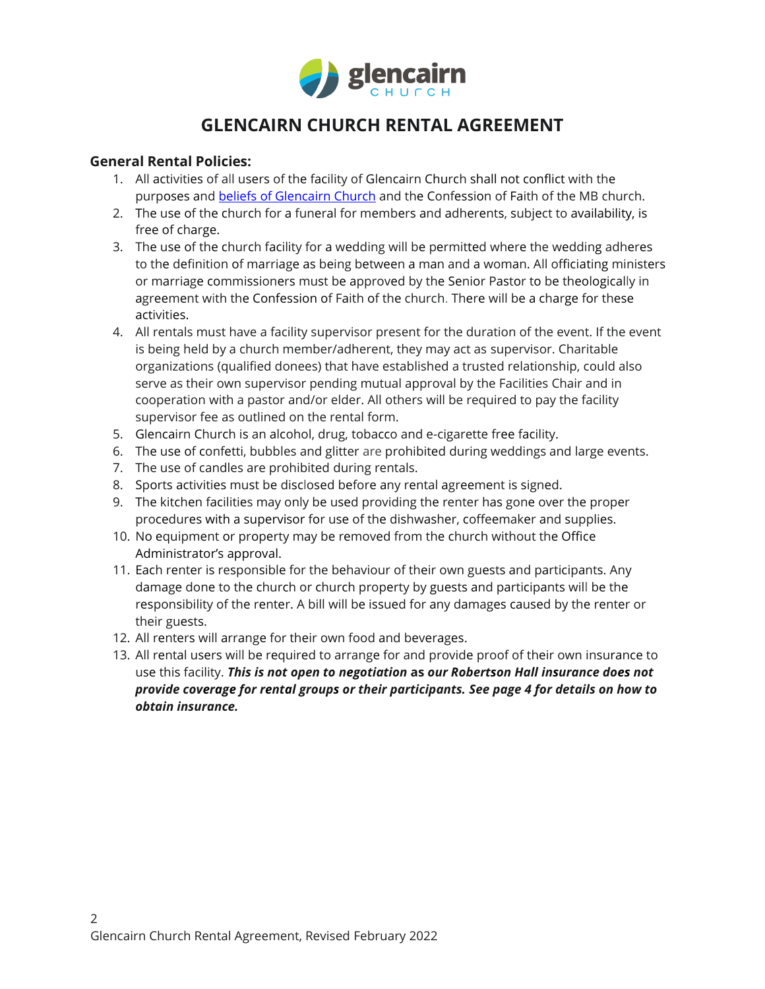

## **General Rental Policies:**

- 1. All activities of all users of the facility of Glencairn Church shall not conflict with the purposes and [beliefs of Glencairn Church](https://glencairn.ca/welcome/what-we-believe/) and the Confession of Faith of the MB church.
- 2. The use of the church for a funeral for members and adherents, subject to availability, is free of charge.
- 3. The use of the church facility for a wedding will be permitted where the wedding adheres to the definition of marriage as being between a man and a woman. All officiating ministers or marriage commissioners must be approved by the Senior Pastor to be theologically in agreement with the Confession of Faith of the church. There will be a charge for these activities.
- 4. All rentals must have a facility supervisor present for the duration of the event. If the event is being held by a church member/adherent, they may act as supervisor. Charitable organizations (qualified donees) that have established a trusted relationship, could also serve as their own supervisor pending mutual approval by the Facilities Chair and in cooperation with a pastor and/or elder. All others will be required to pay the facility supervisor fee as outlined on the rental form.
- 5. Glencairn Church is an alcohol, drug, tobacco and e-cigarette free facility.
- 6. The use of confetti, bubbles and glitter are prohibited during weddings and large events.
- 7. The use of candles are prohibited during rentals.
- 8. Sports activities must be disclosed before any rental agreement is signed.
- 9. The kitchen facilities may only be used providing the renter has gone over the proper procedures with a supervisor for use of the dishwasher, coffeemaker and supplies.
- 10. No equipment or property may be removed from the church without the Office Administrator's approval.
- 11. Each renter is responsible for the behaviour of their own guests and participants. Any damage done to the church or church property by guests and participants will be the responsibility of the renter. A bill will be issued for any damages caused by the renter or their guests.
- 12. All renters will arrange for their own food and beverages.
- 13. All rental users will be required to arrange for and provide proof of their own insurance to use this facility. *This is not open to negotiation* **as** *our Robertson Hall insurance does not provide coverage for rental groups or their participants. See page 4 for details on how to obtain insurance.*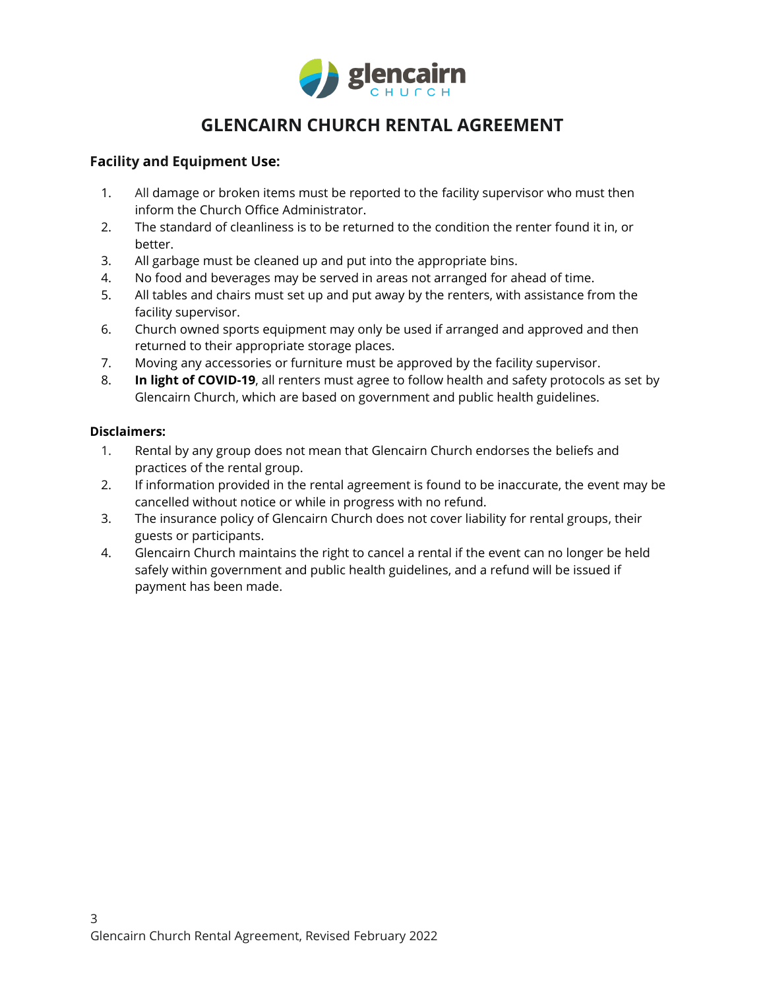

## **Facility and Equipment Use:**

- 1. All damage or broken items must be reported to the facility supervisor who must then inform the Church Office Administrator.
- 2. The standard of cleanliness is to be returned to the condition the renter found it in, or better.
- 3. All garbage must be cleaned up and put into the appropriate bins.
- 4. No food and beverages may be served in areas not arranged for ahead of time.
- 5. All tables and chairs must set up and put away by the renters, with assistance from the facility supervisor.
- 6. Church owned sports equipment may only be used if arranged and approved and then returned to their appropriate storage places.
- 7. Moving any accessories or furniture must be approved by the facility supervisor.
- 8. **In light of COVID-19**, all renters must agree to follow health and safety protocols as set by Glencairn Church, which are based on government and public health guidelines.

### **Disclaimers:**

- 1. Rental by any group does not mean that Glencairn Church endorses the beliefs and practices of the rental group.
- 2. If information provided in the rental agreement is found to be inaccurate, the event may be cancelled without notice or while in progress with no refund.
- 3. The insurance policy of Glencairn Church does not cover liability for rental groups, their guests or participants.
- 4. Glencairn Church maintains the right to cancel a rental if the event can no longer be held safely within government and public health guidelines, and a refund will be issued if payment has been made.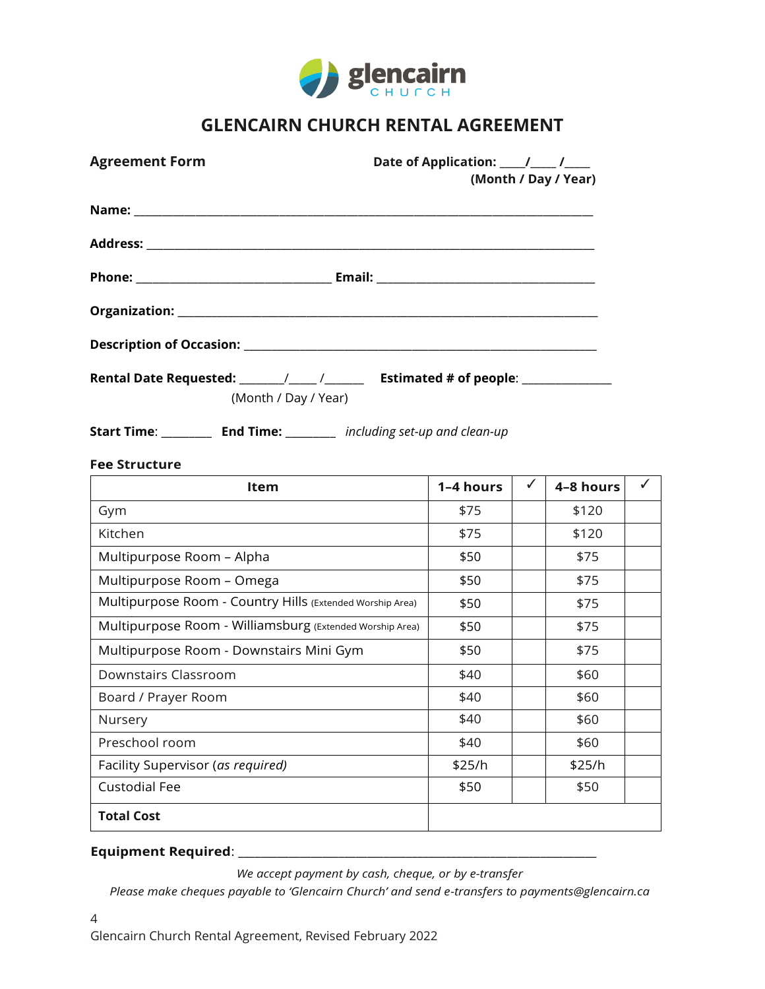

| <b>Agreement Form</b>                                                                                                            | (Month / Day / Year) |   |           |              |
|----------------------------------------------------------------------------------------------------------------------------------|----------------------|---|-----------|--------------|
|                                                                                                                                  |                      |   |           |              |
|                                                                                                                                  |                      |   |           |              |
|                                                                                                                                  |                      |   |           |              |
|                                                                                                                                  |                      |   |           |              |
|                                                                                                                                  |                      |   |           |              |
| (Month / Day / Year)<br><b>Start Time:</b> ___________ End Time: _________ including set-up and clean-up<br><b>Fee Structure</b> |                      |   |           |              |
| Item                                                                                                                             | 1-4 hours            | ✓ | 4-8 hours | $\checkmark$ |
| Gym                                                                                                                              | \$75                 |   | \$120     |              |
| Kitchen                                                                                                                          | \$75                 |   | \$120     |              |
| Multipurpose Room - Alpha                                                                                                        | \$50                 |   | \$75      |              |
| Multipurpose Room - Omega                                                                                                        | \$50                 |   | \$75      |              |
| Multipurpose Room - Country Hills (Extended Worship Area)                                                                        | \$50                 |   | \$75      |              |
| Multipurpose Room - Williamsburg (Extended Worship Area)                                                                         | \$50                 |   | \$75      |              |
| Multipurpose Room - Downstairs Mini Gym                                                                                          | \$50                 |   | \$75      |              |
| Downstairs Classroom                                                                                                             | \$40                 |   | \$60      |              |
| Board / Prayer Room                                                                                                              | \$40                 |   | \$60      |              |
| Nursery                                                                                                                          | \$40                 |   | \$60      |              |
| Preschool room                                                                                                                   | \$40                 |   | \$60      |              |
| Facility Supervisor (as required)                                                                                                | \$25/h               |   | \$25/h    |              |
| <b>Custodial Fee</b>                                                                                                             | \$50                 |   | \$50      |              |
| <b>Total Cost</b>                                                                                                                |                      |   |           |              |

### **Equipment Required**: \_\_\_\_\_\_\_\_\_\_\_\_\_\_\_\_\_\_\_\_\_\_\_\_\_\_\_\_\_\_\_\_\_\_\_\_\_\_\_\_\_\_\_\_\_\_\_\_\_\_\_\_\_\_\_\_\_\_\_\_\_\_\_\_

*We accept payment by cash, cheque, or by e-transfer* 

*Please make cheques payable to 'Glencairn Church' and send e-transfers to payments@glencairn.ca*